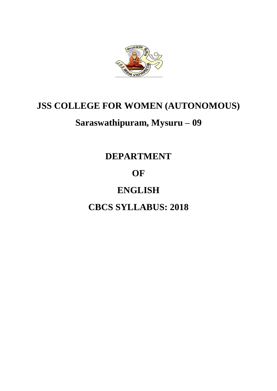

# **JSS COLLEGE FOR WOMEN (AUTONOMOUS)**

# **Saraswathipuram, Mysuru – 09**

### **DEPARTMENT**

### **OF**

## **ENGLISH**

**CBCS SYLLABUS: 2018**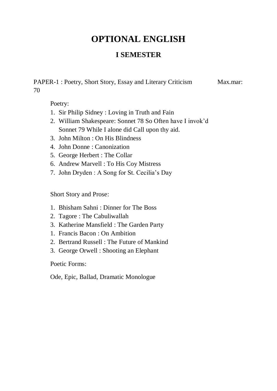#### **I SEMESTER**

PAPER-1 : Poetry, Short Story, Essay and Literary Criticism Max.mar: 70

Poetry:

- 1. Sir Philip Sidney : Loving in Truth and Fain
- 2. William Shakespeare: Sonnet 78 So Often have I invok'd Sonnet 79 While I alone did Call upon thy aid.
- 3. John Milton : On His Blindness
- 4. John Donne : Canonization
- 5. George Herbert : The Collar
- 6. Andrew Marvell : To His Coy Mistress
- 7. John Dryden : A Song for St. Cecilia's Day

Short Story and Prose:

- 1. Bhisham Sahni : Dinner for The Boss
- 2. Tagore : The Cabuliwallah
- 3. Katherine Mansfield : The Garden Party
- 1. Francis Bacon : On Ambition
- 2. Bertrand Russell : The Future of Mankind
- 3. George Orwell : Shooting an Elephant

Poetic Forms:

Ode, Epic, Ballad, Dramatic Monologue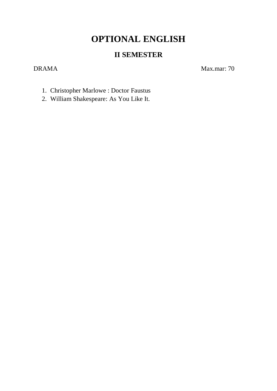#### **II SEMESTER**

DRAMA Max.mar: 70

- 1. Christopher Marlowe : Doctor Faustus
- 2. William Shakespeare: As You Like It.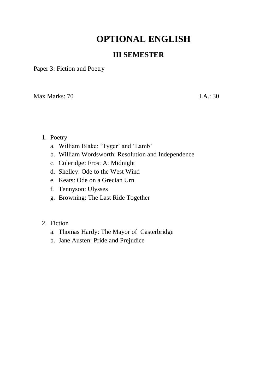#### **III SEMESTER**

Paper 3: Fiction and Poetry

 $\text{Max Marks: } 70$  I.A.: 30

- 1. Poetry
	- a. William Blake: 'Tyger' and 'Lamb'
	- b. William Wordsworth: Resolution and Independence
	- c. Coleridge: Frost At Midnight
	- d. Shelley: Ode to the West Wind
	- e. Keats: Ode on a Grecian Urn
	- f. Tennyson: Ulysses
	- g. Browning: The Last Ride Together

#### 2. Fiction

- a. Thomas Hardy: The Mayor of Casterbridge
- b. Jane Austen: Pride and Prejudice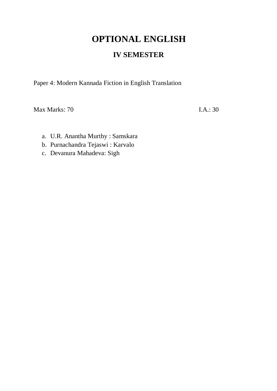#### **IV SEMESTER**

Paper 4: Modern Kannada Fiction in English Translation

Max Marks: 70 I.A.: 30

- a. U.R. Anantha Murthy : Samskara
- b. Purnachandra Tejaswi : Karvalo
- c. Devanura Mahadeva: Sigh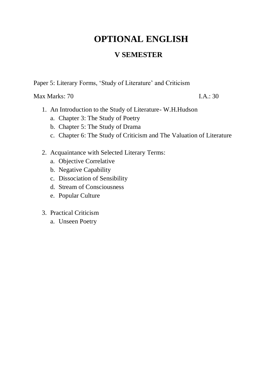#### **V SEMESTER**

Paper 5: Literary Forms, 'Study of Literature' and Criticism

 $\text{Max Marks: } 70$  I.A.: 30

- 1. An Introduction to the Study of Literature- W.H.Hudson
	- a. Chapter 3: The Study of Poetry
	- b. Chapter 5: The Study of Drama
	- c. Chapter 6: The Study of Criticism and The Valuation of Literature
- 2. Acquaintance with Selected Literary Terms:
	- a. Objective Correlative
	- b. Negative Capability
	- c. Dissociation of Sensibility
	- d. Stream of Consciousness
	- e. Popular Culture
- 3. Practical Criticism
	- a. Unseen Poetry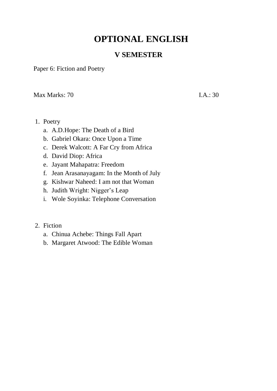#### **V SEMESTER**

Paper 6: Fiction and Poetry

 $\text{Max Marks: } 70$  I.A.: 30

- 1. Poetry
	- a. A.D.Hope: The Death of a Bird
	- b. Gabriel Okara: Once Upon a Time
	- c. Derek Walcott: A Far Cry from Africa
	- d. David Diop: Africa
	- e. Jayant Mahapatra: Freedom
	- f. Jean Arasanayagam: In the Month of July
	- g. Kishwar Naheed: I am not that Woman
	- h. Judith Wright: Nigger's Leap
	- i. Wole Soyinka: Telephone Conversation

#### 2. Fiction

- a. Chinua Achebe: Things Fall Apart
- b. Margaret Atwood: The Edible Woman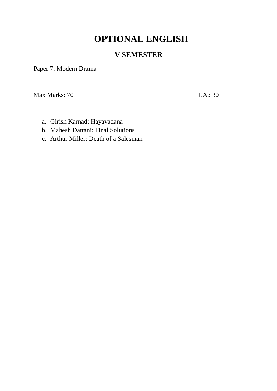#### **V SEMESTER**

Paper 7: Modern Drama

 $\text{Max Marks: } 70$  I.A.: 30

- a. Girish Karnad: Hayavadana
- b. Mahesh Dattani: Final Solutions
- c. Arthur Miller: Death of a Salesman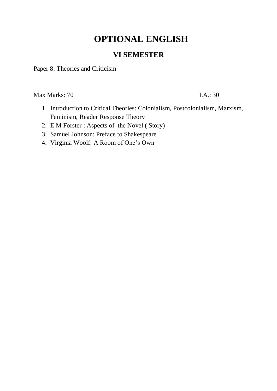#### **VI SEMESTER**

Paper 8: Theories and Criticism

 $\text{Max Marks: } 70$  I.A.: 30

- 1. Introduction to Critical Theories: Colonialism, Postcolonialism, Marxism, Feminism, Reader Response Theory
- 2. E M Forster : Aspects of the Novel ( Story)
- 3. Samuel Johnson: Preface to Shakespeare
- 4. Virginia Woolf: A Room of One's Own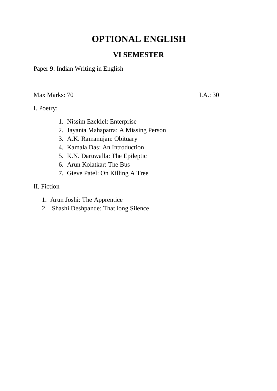#### **VI SEMESTER**

Paper 9: Indian Writing in English

 $\text{Max Marks: } 70$  I.A.: 30

I. Poetry:

- 1. Nissim Ezekiel: Enterprise
- 2. Jayanta Mahapatra: A Missing Person
- 3. A.K. Ramanujan: Obituary
- 4. Kamala Das: An Introduction
- 5. K.N. Daruwalla: The Epileptic
- 6. Arun Kolatkar: The Bus
- 7. Gieve Patel: On Killing A Tree
- II. Fiction
	- 1. Arun Joshi: The Apprentice
	- 2. Shashi Deshpande: That long Silence